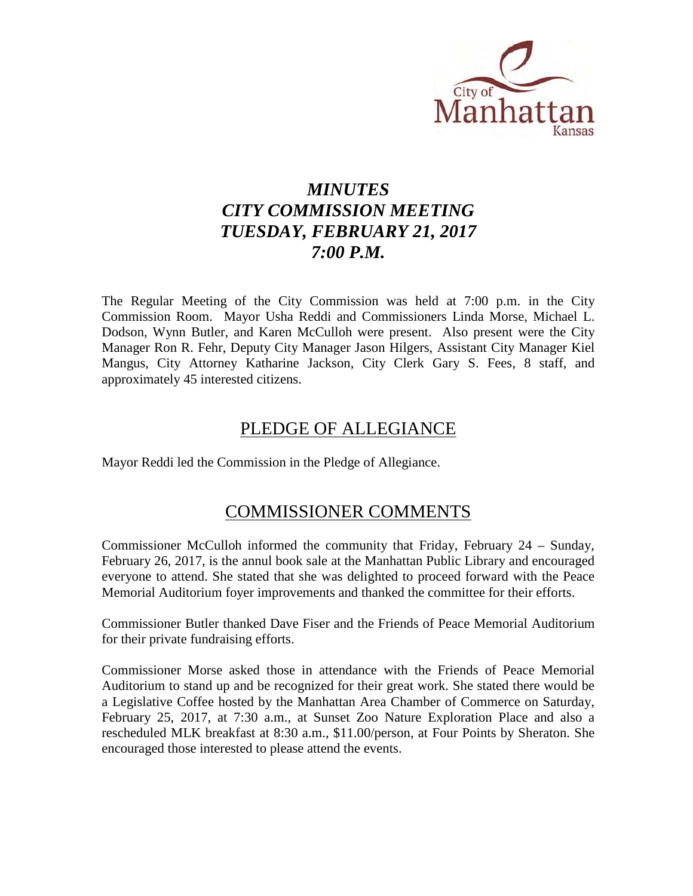

# *MINUTES CITY COMMISSION MEETING TUESDAY, FEBRUARY 21, 2017 7:00 P.M.*

The Regular Meeting of the City Commission was held at 7:00 p.m. in the City Commission Room. Mayor Usha Reddi and Commissioners Linda Morse, Michael L. Dodson, Wynn Butler, and Karen McCulloh were present. Also present were the City Manager Ron R. Fehr, Deputy City Manager Jason Hilgers, Assistant City Manager Kiel Mangus, City Attorney Katharine Jackson, City Clerk Gary S. Fees, 8 staff, and approximately 45 interested citizens.

## PLEDGE OF ALLEGIANCE

Mayor Reddi led the Commission in the Pledge of Allegiance.

### COMMISSIONER COMMENTS

Commissioner McCulloh informed the community that Friday, February 24 – Sunday, February 26, 2017, is the annul book sale at the Manhattan Public Library and encouraged everyone to attend. She stated that she was delighted to proceed forward with the Peace Memorial Auditorium foyer improvements and thanked the committee for their efforts.

Commissioner Butler thanked Dave Fiser and the Friends of Peace Memorial Auditorium for their private fundraising efforts.

Commissioner Morse asked those in attendance with the Friends of Peace Memorial Auditorium to stand up and be recognized for their great work. She stated there would be a Legislative Coffee hosted by the Manhattan Area Chamber of Commerce on Saturday, February 25, 2017, at 7:30 a.m., at Sunset Zoo Nature Exploration Place and also a rescheduled MLK breakfast at 8:30 a.m., \$11.00/person, at Four Points by Sheraton. She encouraged those interested to please attend the events.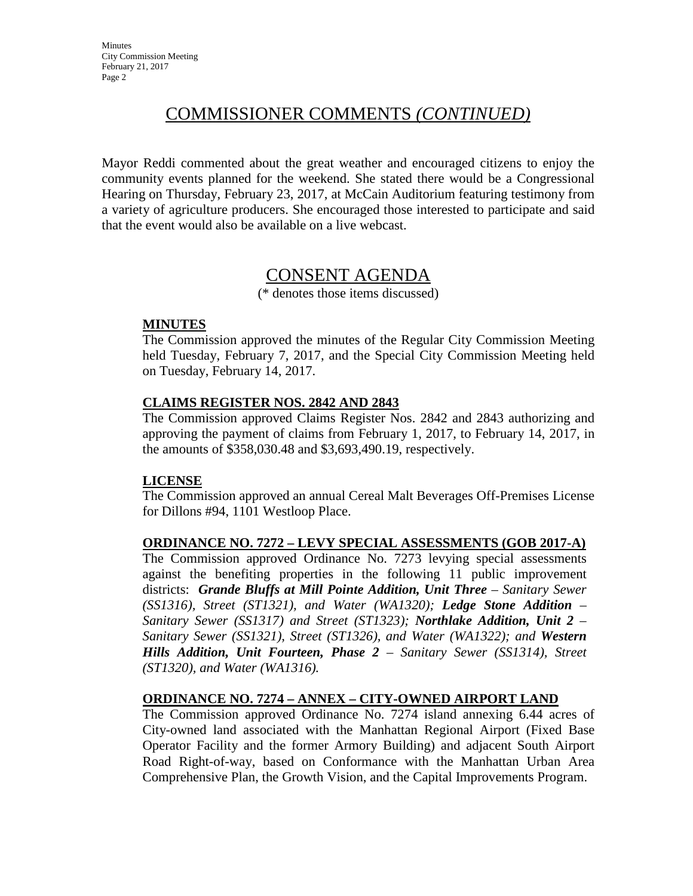# COMMISSIONER COMMENTS *(CONTINUED)*

Mayor Reddi commented about the great weather and encouraged citizens to enjoy the community events planned for the weekend. She stated there would be a Congressional Hearing on Thursday, February 23, 2017, at McCain Auditorium featuring testimony from a variety of agriculture producers. She encouraged those interested to participate and said that the event would also be available on a live webcast.

## CONSENT AGENDA

(\* denotes those items discussed)

#### **MINUTES**

The Commission approved the minutes of the Regular City Commission Meeting held Tuesday, February 7, 2017, and the Special City Commission Meeting held on Tuesday, February 14, 2017.

### **CLAIMS REGISTER NOS. 2842 AND 2843**

The Commission approved Claims Register Nos. 2842 and 2843 authorizing and approving the payment of claims from February 1, 2017, to February 14, 2017, in the amounts of \$358,030.48 and \$3,693,490.19, respectively.

### **LICENSE**

The Commission approved an annual Cereal Malt Beverages Off-Premises License for Dillons #94, 1101 Westloop Place.

### **ORDINANCE NO. 7272 – LEVY SPECIAL ASSESSMENTS (GOB 2017-A)**

The Commission approved Ordinance No. 7273 levying special assessments against the benefiting properties in the following 11 public improvement districts: *Grande Bluffs at Mill Pointe Addition, Unit Three – Sanitary Sewer (SS1316), Street (ST1321), and Water (WA1320); Ledge Stone Addition – Sanitary Sewer (SS1317) and Street (ST1323); Northlake Addition, Unit 2 – Sanitary Sewer (SS1321), Street (ST1326), and Water (WA1322); and Western Hills Addition, Unit Fourteen, Phase 2 – Sanitary Sewer (SS1314), Street (ST1320), and Water (WA1316).* 

### **ORDINANCE NO. 7274 – ANNEX – CITY-OWNED AIRPORT LAND**

The Commission approved Ordinance No. 7274 island annexing 6.44 acres of City-owned land associated with the Manhattan Regional Airport (Fixed Base Operator Facility and the former Armory Building) and adjacent South Airport Road Right-of-way, based on Conformance with the Manhattan Urban Area Comprehensive Plan, the Growth Vision, and the Capital Improvements Program.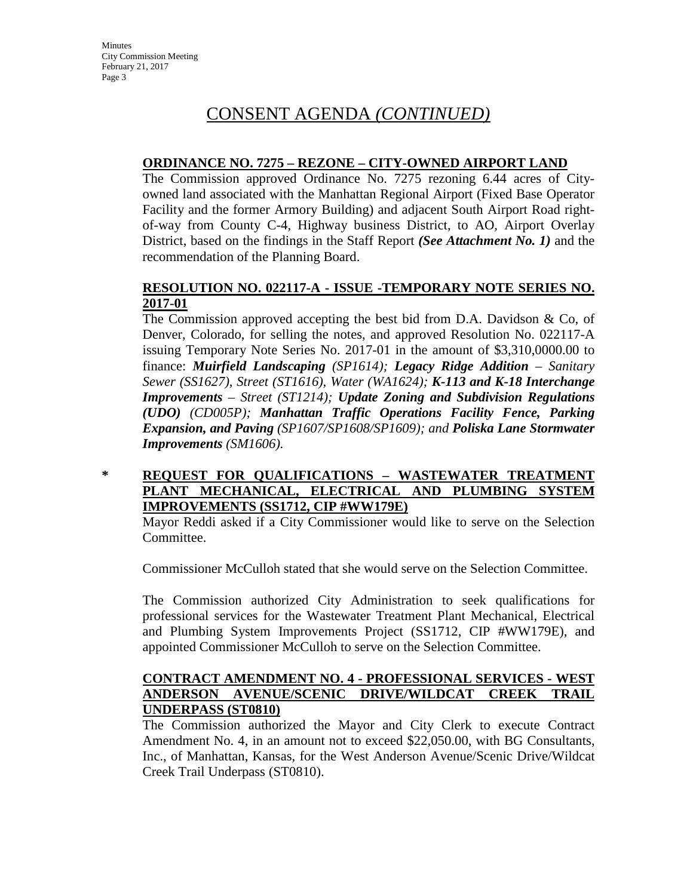# CONSENT AGENDA *(CONTINUED)*

### **ORDINANCE NO. 7275 – REZONE – CITY-OWNED AIRPORT LAND**

The Commission approved Ordinance No. 7275 rezoning 6.44 acres of Cityowned land associated with the Manhattan Regional Airport (Fixed Base Operator Facility and the former Armory Building) and adjacent South Airport Road rightof-way from County C-4, Highway business District, to AO, Airport Overlay District, based on the findings in the Staff Report *(See Attachment No. 1)* and the recommendation of the Planning Board.

#### **RESOLUTION NO. 022117-A - ISSUE -TEMPORARY NOTE SERIES NO. 2017-01**

The Commission approved accepting the best bid from D.A. Davidson  $\&$  Co, of Denver, Colorado, for selling the notes, and approved Resolution No. 022117-A issuing Temporary Note Series No. 2017-01 in the amount of \$3,310,0000.00 to finance: *Muirfield Landscaping (SP1614); Legacy Ridge Addition – Sanitary Sewer (SS1627), Street (ST1616), Water (WA1624); K-113 and K-18 Interchange Improvements – Street (ST1214); Update Zoning and Subdivision Regulations (UDO) (CD005P); Manhattan Traffic Operations Facility Fence, Parking Expansion, and Paving (SP1607/SP1608/SP1609); and Poliska Lane Stormwater Improvements (SM1606).*

#### **\* REQUEST FOR QUALIFICATIONS – WASTEWATER TREATMENT PLANT MECHANICAL, ELECTRICAL AND PLUMBING SYSTEM IMPROVEMENTS (SS1712, CIP #WW179E)**

Mayor Reddi asked if a City Commissioner would like to serve on the Selection Committee.

Commissioner McCulloh stated that she would serve on the Selection Committee.

The Commission authorized City Administration to seek qualifications for professional services for the Wastewater Treatment Plant Mechanical, Electrical and Plumbing System Improvements Project (SS1712, CIP #WW179E), and appointed Commissioner McCulloh to serve on the Selection Committee.

#### **CONTRACT AMENDMENT NO. 4 - PROFESSIONAL SERVICES - WEST ANDERSON AVENUE/SCENIC DRIVE/WILDCAT CREEK TRAIL UNDERPASS (ST0810)**

The Commission authorized the Mayor and City Clerk to execute Contract Amendment No. 4, in an amount not to exceed \$22,050.00, with BG Consultants, Inc., of Manhattan, Kansas, for the West Anderson Avenue/Scenic Drive/Wildcat Creek Trail Underpass (ST0810).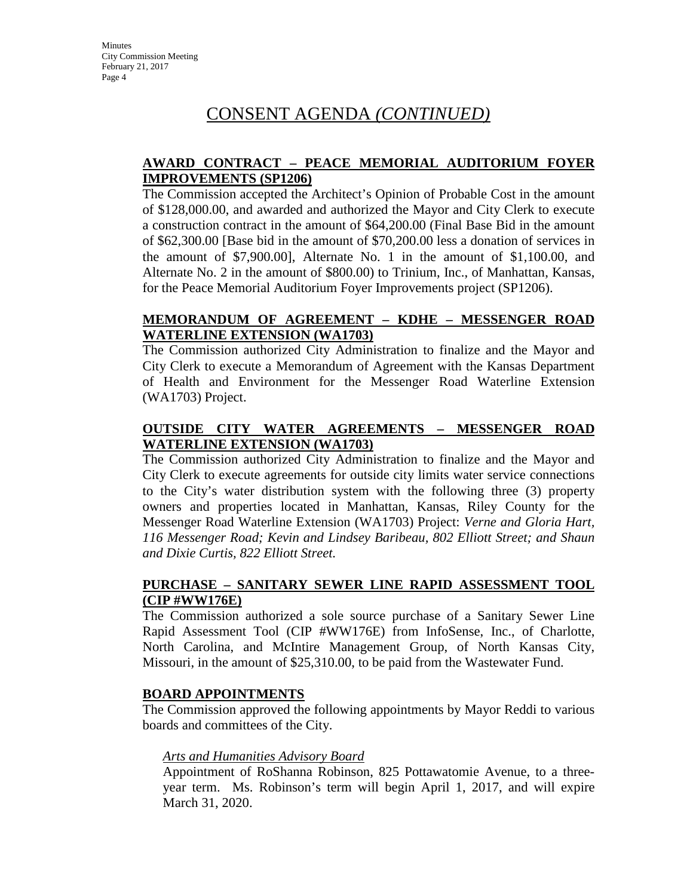# CONSENT AGENDA *(CONTINUED)*

#### **AWARD CONTRACT – PEACE MEMORIAL AUDITORIUM FOYER IMPROVEMENTS (SP1206)**

The Commission accepted the Architect's Opinion of Probable Cost in the amount of \$128,000.00, and awarded and authorized the Mayor and City Clerk to execute a construction contract in the amount of \$64,200.00 (Final Base Bid in the amount of \$62,300.00 [Base bid in the amount of \$70,200.00 less a donation of services in the amount of \$7,900.00], Alternate No. 1 in the amount of \$1,100.00, and Alternate No. 2 in the amount of \$800.00) to Trinium, Inc., of Manhattan, Kansas, for the Peace Memorial Auditorium Foyer Improvements project (SP1206).

#### **MEMORANDUM OF AGREEMENT – KDHE – MESSENGER ROAD WATERLINE EXTENSION (WA1703)**

The Commission authorized City Administration to finalize and the Mayor and City Clerk to execute a Memorandum of Agreement with the Kansas Department of Health and Environment for the Messenger Road Waterline Extension (WA1703) Project.

### **OUTSIDE CITY WATER AGREEMENTS – MESSENGER ROAD WATERLINE EXTENSION (WA1703)**

The Commission authorized City Administration to finalize and the Mayor and City Clerk to execute agreements for outside city limits water service connections to the City's water distribution system with the following three (3) property owners and properties located in Manhattan, Kansas, Riley County for the Messenger Road Waterline Extension (WA1703) Project: *Verne and Gloria Hart, 116 Messenger Road; Kevin and Lindsey Baribeau, 802 Elliott Street; and Shaun and Dixie Curtis, 822 Elliott Street.* 

### **PURCHASE – SANITARY SEWER LINE RAPID ASSESSMENT TOOL (CIP #WW176E)**

The Commission authorized a sole source purchase of a Sanitary Sewer Line Rapid Assessment Tool (CIP #WW176E) from InfoSense, Inc., of Charlotte, North Carolina, and McIntire Management Group, of North Kansas City, Missouri, in the amount of \$25,310.00, to be paid from the Wastewater Fund.

### **BOARD APPOINTMENTS**

The Commission approved the following appointments by Mayor Reddi to various boards and committees of the City.

#### *Arts and Humanities Advisory Board*

Appointment of RoShanna Robinson, 825 Pottawatomie Avenue, to a threeyear term. Ms. Robinson's term will begin April 1, 2017, and will expire March 31, 2020.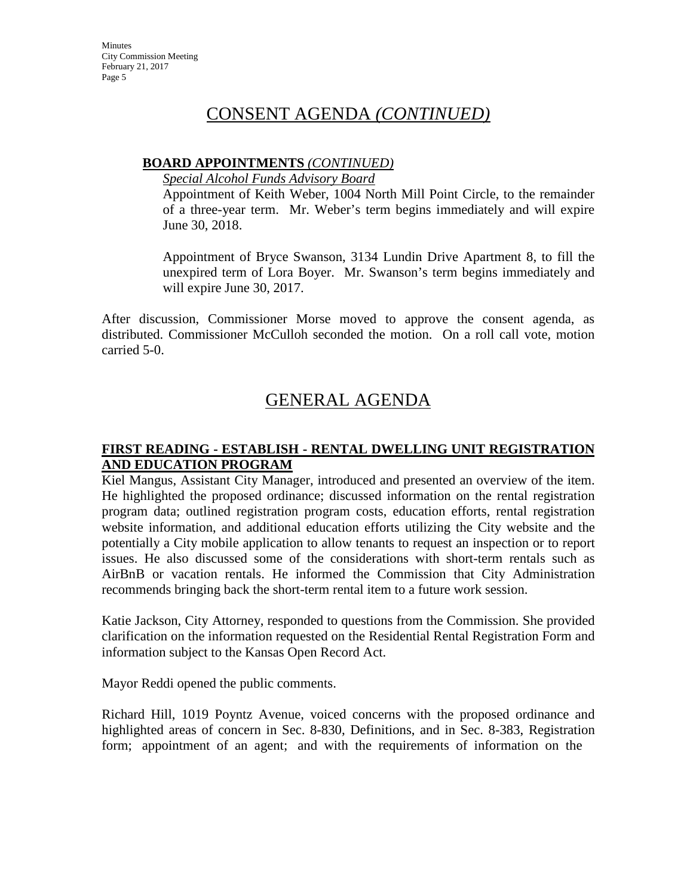### CONSENT AGENDA *(CONTINUED)*

#### **BOARD APPOINTMENTS** *(CONTINUED)*

*Special Alcohol Funds Advisory Board*

Appointment of Keith Weber, 1004 North Mill Point Circle, to the remainder of a three-year term. Mr. Weber's term begins immediately and will expire June 30, 2018.

Appointment of Bryce Swanson, 3134 Lundin Drive Apartment 8, to fill the unexpired term of Lora Boyer. Mr. Swanson's term begins immediately and will expire June 30, 2017.

After discussion, Commissioner Morse moved to approve the consent agenda, as distributed. Commissioner McCulloh seconded the motion. On a roll call vote, motion carried 5-0.

# GENERAL AGENDA

#### **FIRST READING - ESTABLISH - RENTAL DWELLING UNIT REGISTRATION AND EDUCATION PROGRAM**

Kiel Mangus, Assistant City Manager, introduced and presented an overview of the item. He highlighted the proposed ordinance; discussed information on the rental registration program data; outlined registration program costs, education efforts, rental registration website information, and additional education efforts utilizing the City website and the potentially a City mobile application to allow tenants to request an inspection or to report issues. He also discussed some of the considerations with short-term rentals such as AirBnB or vacation rentals. He informed the Commission that City Administration recommends bringing back the short-term rental item to a future work session.

Katie Jackson, City Attorney, responded to questions from the Commission. She provided clarification on the information requested on the Residential Rental Registration Form and information subject to the Kansas Open Record Act.

Mayor Reddi opened the public comments.

Richard Hill, 1019 Poyntz Avenue, voiced concerns with the proposed ordinance and highlighted areas of concern in Sec. 8-830, Definitions, and in Sec. 8-383, Registration form; appointment of an agent; and with the requirements of information on the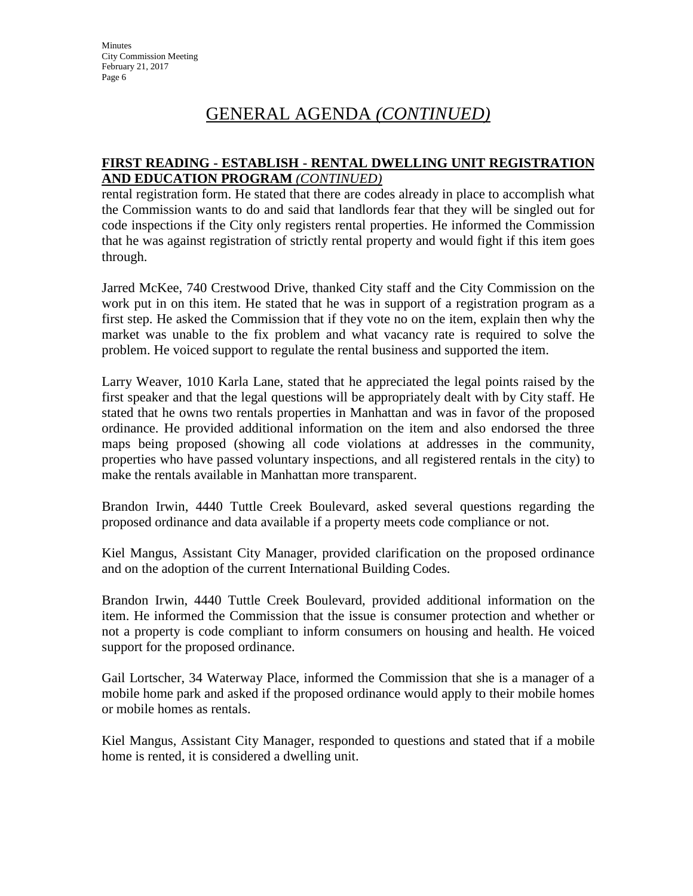### **FIRST READING - ESTABLISH - RENTAL DWELLING UNIT REGISTRATION AND EDUCATION PROGRAM** *(CONTINUED)*

rental registration form. He stated that there are codes already in place to accomplish what the Commission wants to do and said that landlords fear that they will be singled out for code inspections if the City only registers rental properties. He informed the Commission that he was against registration of strictly rental property and would fight if this item goes through.

Jarred McKee, 740 Crestwood Drive, thanked City staff and the City Commission on the work put in on this item. He stated that he was in support of a registration program as a first step. He asked the Commission that if they vote no on the item, explain then why the market was unable to the fix problem and what vacancy rate is required to solve the problem. He voiced support to regulate the rental business and supported the item.

Larry Weaver, 1010 Karla Lane, stated that he appreciated the legal points raised by the first speaker and that the legal questions will be appropriately dealt with by City staff. He stated that he owns two rentals properties in Manhattan and was in favor of the proposed ordinance. He provided additional information on the item and also endorsed the three maps being proposed (showing all code violations at addresses in the community, properties who have passed voluntary inspections, and all registered rentals in the city) to make the rentals available in Manhattan more transparent.

Brandon Irwin, 4440 Tuttle Creek Boulevard, asked several questions regarding the proposed ordinance and data available if a property meets code compliance or not.

Kiel Mangus, Assistant City Manager, provided clarification on the proposed ordinance and on the adoption of the current International Building Codes.

Brandon Irwin, 4440 Tuttle Creek Boulevard, provided additional information on the item. He informed the Commission that the issue is consumer protection and whether or not a property is code compliant to inform consumers on housing and health. He voiced support for the proposed ordinance.

Gail Lortscher, 34 Waterway Place, informed the Commission that she is a manager of a mobile home park and asked if the proposed ordinance would apply to their mobile homes or mobile homes as rentals.

Kiel Mangus, Assistant City Manager, responded to questions and stated that if a mobile home is rented, it is considered a dwelling unit.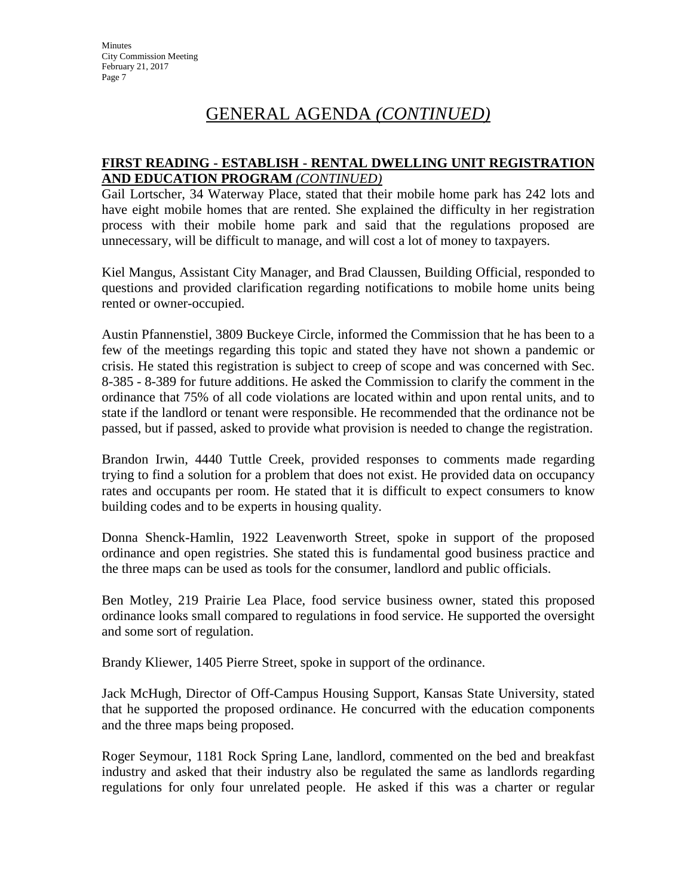#### **FIRST READING - ESTABLISH - RENTAL DWELLING UNIT REGISTRATION AND EDUCATION PROGRAM** *(CONTINUED)*

Gail Lortscher, 34 Waterway Place, stated that their mobile home park has 242 lots and have eight mobile homes that are rented. She explained the difficulty in her registration process with their mobile home park and said that the regulations proposed are unnecessary, will be difficult to manage, and will cost a lot of money to taxpayers.

Kiel Mangus, Assistant City Manager, and Brad Claussen, Building Official, responded to questions and provided clarification regarding notifications to mobile home units being rented or owner-occupied.

Austin Pfannenstiel, 3809 Buckeye Circle, informed the Commission that he has been to a few of the meetings regarding this topic and stated they have not shown a pandemic or crisis. He stated this registration is subject to creep of scope and was concerned with Sec. 8-385 - 8-389 for future additions. He asked the Commission to clarify the comment in the ordinance that 75% of all code violations are located within and upon rental units, and to state if the landlord or tenant were responsible. He recommended that the ordinance not be passed, but if passed, asked to provide what provision is needed to change the registration.

Brandon Irwin, 4440 Tuttle Creek, provided responses to comments made regarding trying to find a solution for a problem that does not exist. He provided data on occupancy rates and occupants per room. He stated that it is difficult to expect consumers to know building codes and to be experts in housing quality.

Donna Shenck-Hamlin, 1922 Leavenworth Street, spoke in support of the proposed ordinance and open registries. She stated this is fundamental good business practice and the three maps can be used as tools for the consumer, landlord and public officials.

Ben Motley, 219 Prairie Lea Place, food service business owner, stated this proposed ordinance looks small compared to regulations in food service. He supported the oversight and some sort of regulation.

Brandy Kliewer, 1405 Pierre Street, spoke in support of the ordinance.

Jack McHugh, Director of Off-Campus Housing Support, Kansas State University, stated that he supported the proposed ordinance. He concurred with the education components and the three maps being proposed.

Roger Seymour, 1181 Rock Spring Lane, landlord, commented on the bed and breakfast industry and asked that their industry also be regulated the same as landlords regarding regulations for only four unrelated people. He asked if this was a charter or regular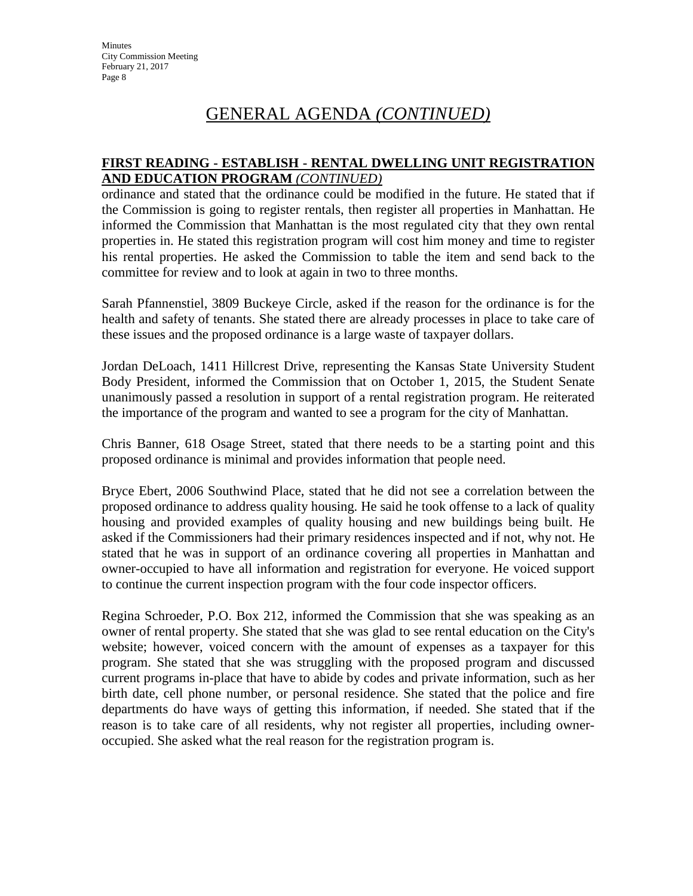### **FIRST READING - ESTABLISH - RENTAL DWELLING UNIT REGISTRATION AND EDUCATION PROGRAM** *(CONTINUED)*

ordinance and stated that the ordinance could be modified in the future. He stated that if the Commission is going to register rentals, then register all properties in Manhattan. He informed the Commission that Manhattan is the most regulated city that they own rental properties in. He stated this registration program will cost him money and time to register his rental properties. He asked the Commission to table the item and send back to the committee for review and to look at again in two to three months.

Sarah Pfannenstiel, 3809 Buckeye Circle, asked if the reason for the ordinance is for the health and safety of tenants. She stated there are already processes in place to take care of these issues and the proposed ordinance is a large waste of taxpayer dollars.

Jordan DeLoach, 1411 Hillcrest Drive, representing the Kansas State University Student Body President, informed the Commission that on October 1, 2015, the Student Senate unanimously passed a resolution in support of a rental registration program. He reiterated the importance of the program and wanted to see a program for the city of Manhattan.

Chris Banner, 618 Osage Street, stated that there needs to be a starting point and this proposed ordinance is minimal and provides information that people need.

Bryce Ebert, 2006 Southwind Place, stated that he did not see a correlation between the proposed ordinance to address quality housing. He said he took offense to a lack of quality housing and provided examples of quality housing and new buildings being built. He asked if the Commissioners had their primary residences inspected and if not, why not. He stated that he was in support of an ordinance covering all properties in Manhattan and owner-occupied to have all information and registration for everyone. He voiced support to continue the current inspection program with the four code inspector officers.

Regina Schroeder, P.O. Box 212, informed the Commission that she was speaking as an owner of rental property. She stated that she was glad to see rental education on the City's website; however, voiced concern with the amount of expenses as a taxpayer for this program. She stated that she was struggling with the proposed program and discussed current programs in-place that have to abide by codes and private information, such as her birth date, cell phone number, or personal residence. She stated that the police and fire departments do have ways of getting this information, if needed. She stated that if the reason is to take care of all residents, why not register all properties, including owneroccupied. She asked what the real reason for the registration program is.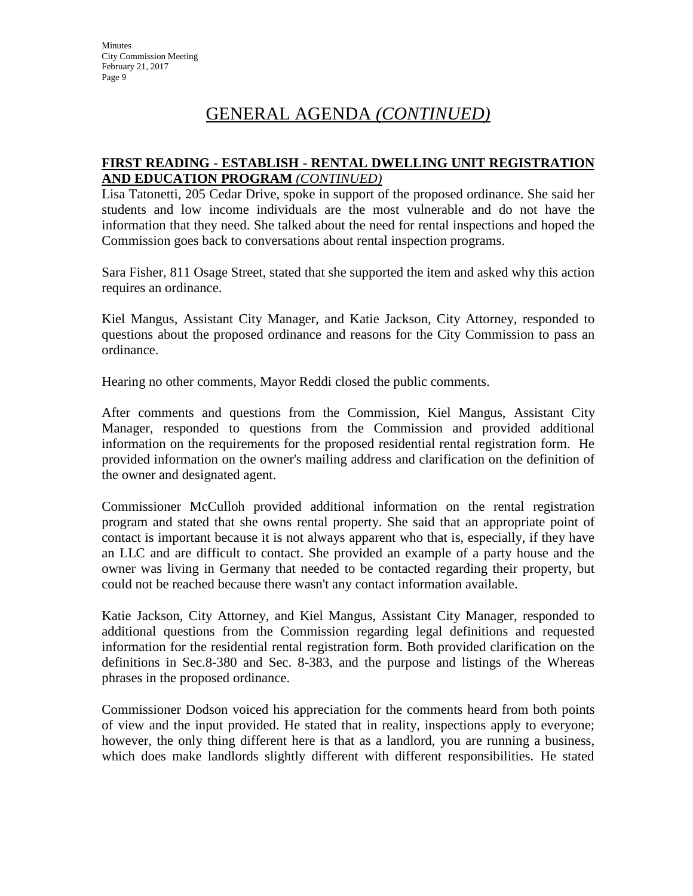#### **FIRST READING - ESTABLISH - RENTAL DWELLING UNIT REGISTRATION AND EDUCATION PROGRAM** *(CONTINUED)*

Lisa Tatonetti, 205 Cedar Drive, spoke in support of the proposed ordinance. She said her students and low income individuals are the most vulnerable and do not have the information that they need. She talked about the need for rental inspections and hoped the Commission goes back to conversations about rental inspection programs.

Sara Fisher, 811 Osage Street, stated that she supported the item and asked why this action requires an ordinance.

Kiel Mangus, Assistant City Manager, and Katie Jackson, City Attorney, responded to questions about the proposed ordinance and reasons for the City Commission to pass an ordinance.

Hearing no other comments, Mayor Reddi closed the public comments.

After comments and questions from the Commission, Kiel Mangus, Assistant City Manager, responded to questions from the Commission and provided additional information on the requirements for the proposed residential rental registration form. He provided information on the owner's mailing address and clarification on the definition of the owner and designated agent.

Commissioner McCulloh provided additional information on the rental registration program and stated that she owns rental property. She said that an appropriate point of contact is important because it is not always apparent who that is, especially, if they have an LLC and are difficult to contact. She provided an example of a party house and the owner was living in Germany that needed to be contacted regarding their property, but could not be reached because there wasn't any contact information available.

Katie Jackson, City Attorney, and Kiel Mangus, Assistant City Manager, responded to additional questions from the Commission regarding legal definitions and requested information for the residential rental registration form. Both provided clarification on the definitions in Sec.8-380 and Sec. 8-383, and the purpose and listings of the Whereas phrases in the proposed ordinance.

Commissioner Dodson voiced his appreciation for the comments heard from both points of view and the input provided. He stated that in reality, inspections apply to everyone; however, the only thing different here is that as a landlord, you are running a business, which does make landlords slightly different with different responsibilities. He stated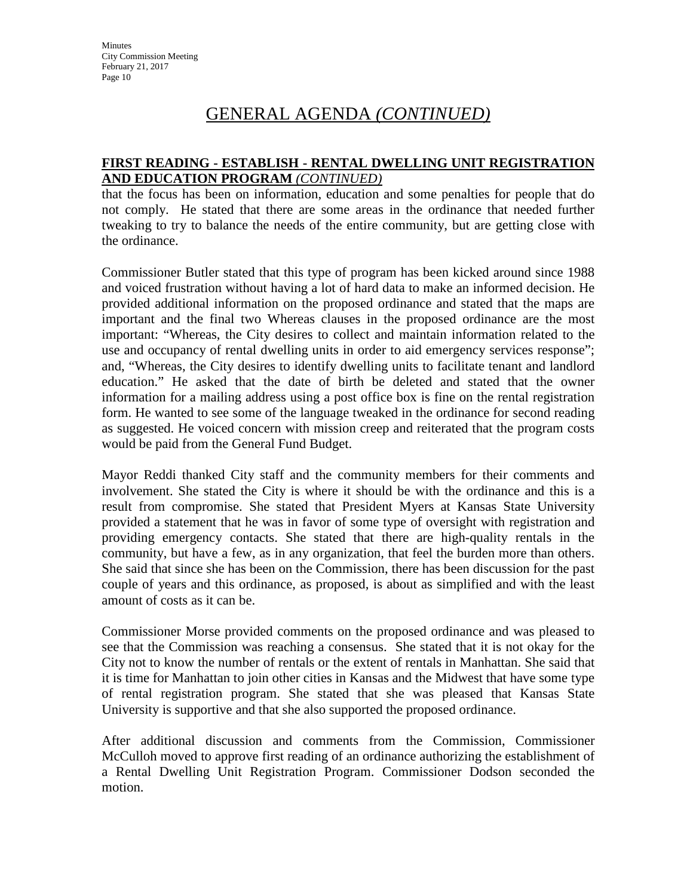### **FIRST READING - ESTABLISH - RENTAL DWELLING UNIT REGISTRATION AND EDUCATION PROGRAM** *(CONTINUED)*

that the focus has been on information, education and some penalties for people that do not comply. He stated that there are some areas in the ordinance that needed further tweaking to try to balance the needs of the entire community, but are getting close with the ordinance.

Commissioner Butler stated that this type of program has been kicked around since 1988 and voiced frustration without having a lot of hard data to make an informed decision. He provided additional information on the proposed ordinance and stated that the maps are important and the final two Whereas clauses in the proposed ordinance are the most important: "Whereas, the City desires to collect and maintain information related to the use and occupancy of rental dwelling units in order to aid emergency services response"; and, "Whereas, the City desires to identify dwelling units to facilitate tenant and landlord education." He asked that the date of birth be deleted and stated that the owner information for a mailing address using a post office box is fine on the rental registration form. He wanted to see some of the language tweaked in the ordinance for second reading as suggested. He voiced concern with mission creep and reiterated that the program costs would be paid from the General Fund Budget.

Mayor Reddi thanked City staff and the community members for their comments and involvement. She stated the City is where it should be with the ordinance and this is a result from compromise. She stated that President Myers at Kansas State University provided a statement that he was in favor of some type of oversight with registration and providing emergency contacts. She stated that there are high-quality rentals in the community, but have a few, as in any organization, that feel the burden more than others. She said that since she has been on the Commission, there has been discussion for the past couple of years and this ordinance, as proposed, is about as simplified and with the least amount of costs as it can be.

Commissioner Morse provided comments on the proposed ordinance and was pleased to see that the Commission was reaching a consensus. She stated that it is not okay for the City not to know the number of rentals or the extent of rentals in Manhattan. She said that it is time for Manhattan to join other cities in Kansas and the Midwest that have some type of rental registration program. She stated that she was pleased that Kansas State University is supportive and that she also supported the proposed ordinance.

After additional discussion and comments from the Commission, Commissioner McCulloh moved to approve first reading of an ordinance authorizing the establishment of a Rental Dwelling Unit Registration Program. Commissioner Dodson seconded the motion.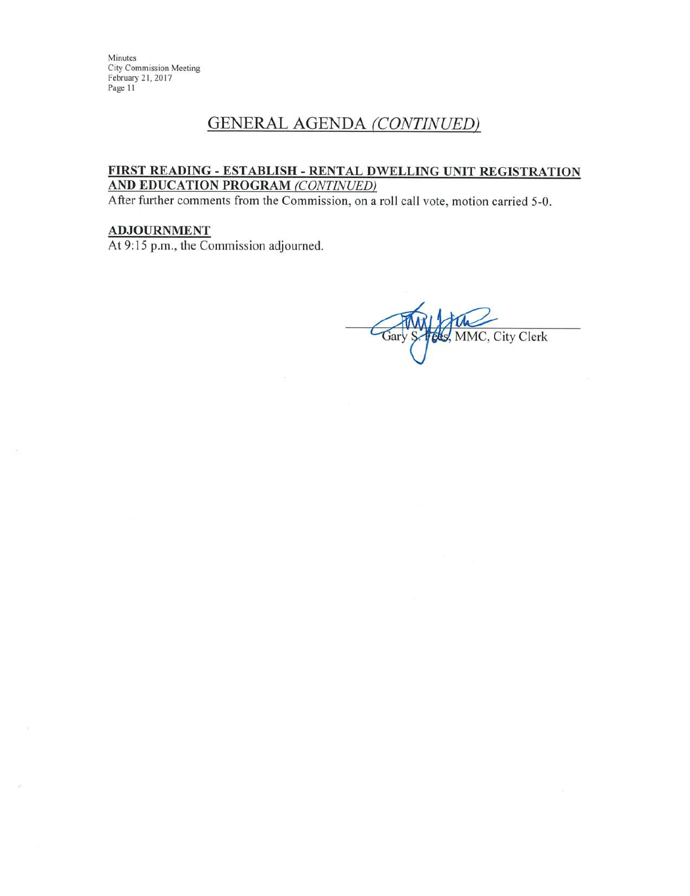Minutes **City Commission Meeting** February 21, 2017 Page 11

### **GENERAL AGENDA (CONTINUED)**

#### FIRST READING - ESTABLISH - RENTAL DWELLING UNIT REGISTRATION AND EDUCATION PROGRAM (CONTINUED)

After further comments from the Commission, on a roll call vote, motion carried 5-0.

#### **ADJOURNMENT**

At 9:15 p.m., the Commission adjourned.

MMC, City Clerk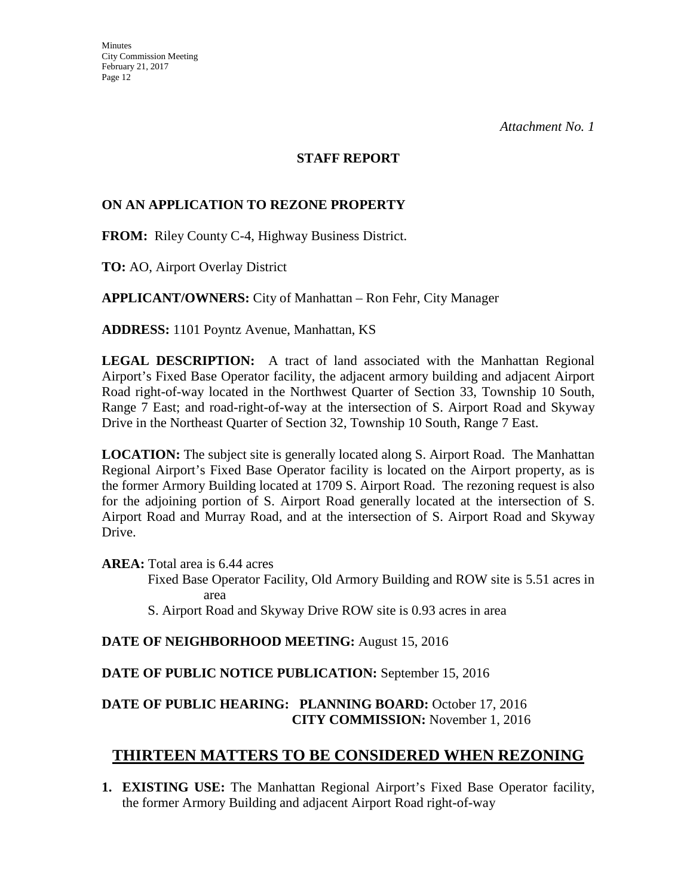#### **STAFF REPORT**

### **ON AN APPLICATION TO REZONE PROPERTY**

**FROM:** Riley County C-4, Highway Business District.

**TO:** AO, Airport Overlay District

**APPLICANT/OWNERS:** City of Manhattan – Ron Fehr, City Manager

**ADDRESS:** 1101 Poyntz Avenue, Manhattan, KS

**LEGAL DESCRIPTION:** A tract of land associated with the Manhattan Regional Airport's Fixed Base Operator facility, the adjacent armory building and adjacent Airport Road right-of-way located in the Northwest Quarter of Section 33, Township 10 South, Range 7 East; and road-right-of-way at the intersection of S. Airport Road and Skyway Drive in the Northeast Quarter of Section 32, Township 10 South, Range 7 East.

**LOCATION:** The subject site is generally located along S. Airport Road. The Manhattan Regional Airport's Fixed Base Operator facility is located on the Airport property, as is the former Armory Building located at 1709 S. Airport Road. The rezoning request is also for the adjoining portion of S. Airport Road generally located at the intersection of S. Airport Road and Murray Road, and at the intersection of S. Airport Road and Skyway Drive.

**AREA:** Total area is 6.44 acres

 Fixed Base Operator Facility, Old Armory Building and ROW site is 5.51 acres in area

S. Airport Road and Skyway Drive ROW site is 0.93 acres in area

### **DATE OF NEIGHBORHOOD MEETING:** August 15, 2016

### **DATE OF PUBLIC NOTICE PUBLICATION:** September 15, 2016

### **DATE OF PUBLIC HEARING: PLANNING BOARD:** October 17, 2016 **CITY COMMISSION:** November 1, 2016

### **THIRTEEN MATTERS TO BE CONSIDERED WHEN REZONING**

**1. EXISTING USE:** The Manhattan Regional Airport's Fixed Base Operator facility, the former Armory Building and adjacent Airport Road right-of-way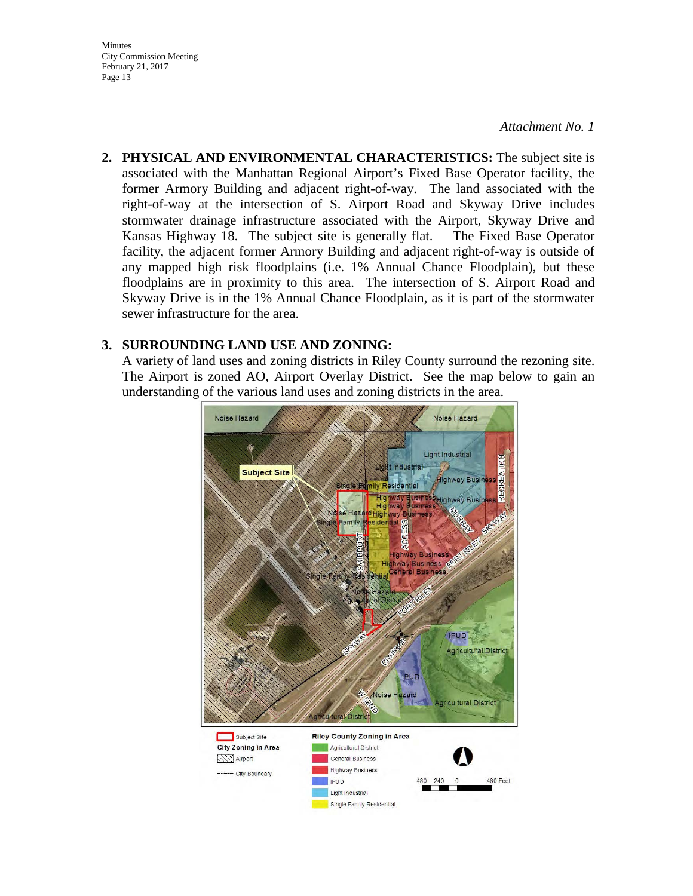**Minutes** City Commission Meeting February 21, 2017 Page 13

#### *Attachment No. 1*

**2. PHYSICAL AND ENVIRONMENTAL CHARACTERISTICS:** The subject site is associated with the Manhattan Regional Airport's Fixed Base Operator facility, the former Armory Building and adjacent right-of-way. The land associated with the right-of-way at the intersection of S. Airport Road and Skyway Drive includes stormwater drainage infrastructure associated with the Airport, Skyway Drive and Kansas Highway 18. The subject site is generally flat. The Fixed Base Operator facility, the adjacent former Armory Building and adjacent right-of-way is outside of any mapped high risk floodplains (i.e. 1% Annual Chance Floodplain), but these floodplains are in proximity to this area. The intersection of S. Airport Road and Skyway Drive is in the 1% Annual Chance Floodplain, as it is part of the stormwater sewer infrastructure for the area.

#### **3. SURROUNDING LAND USE AND ZONING:**

A variety of land uses and zoning districts in Riley County surround the rezoning site. The Airport is zoned AO, Airport Overlay District. See the map below to gain an understanding of the various land uses and zoning districts in the area.

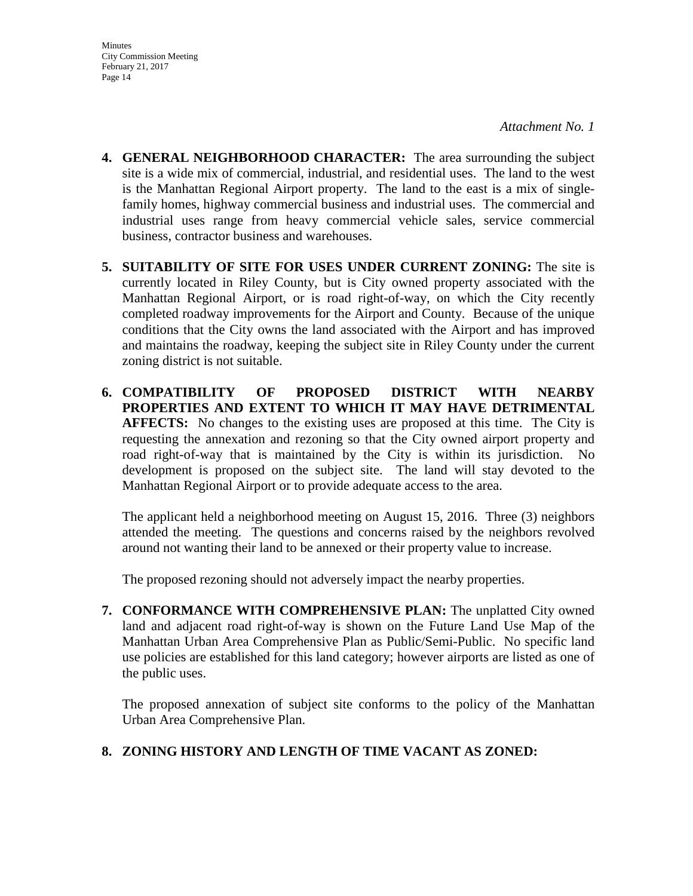- **4. GENERAL NEIGHBORHOOD CHARACTER:** The area surrounding the subject site is a wide mix of commercial, industrial, and residential uses. The land to the west is the Manhattan Regional Airport property. The land to the east is a mix of singlefamily homes, highway commercial business and industrial uses. The commercial and industrial uses range from heavy commercial vehicle sales, service commercial business, contractor business and warehouses.
- **5. SUITABILITY OF SITE FOR USES UNDER CURRENT ZONING:** The site is currently located in Riley County, but is City owned property associated with the Manhattan Regional Airport, or is road right-of-way, on which the City recently completed roadway improvements for the Airport and County. Because of the unique conditions that the City owns the land associated with the Airport and has improved and maintains the roadway, keeping the subject site in Riley County under the current zoning district is not suitable.
- **6. COMPATIBILITY OF PROPOSED DISTRICT WITH NEARBY PROPERTIES AND EXTENT TO WHICH IT MAY HAVE DETRIMENTAL AFFECTS:** No changes to the existing uses are proposed at this time. The City is requesting the annexation and rezoning so that the City owned airport property and road right-of-way that is maintained by the City is within its jurisdiction. No development is proposed on the subject site. The land will stay devoted to the Manhattan Regional Airport or to provide adequate access to the area.

The applicant held a neighborhood meeting on August 15, 2016. Three (3) neighbors attended the meeting. The questions and concerns raised by the neighbors revolved around not wanting their land to be annexed or their property value to increase.

The proposed rezoning should not adversely impact the nearby properties.

**7. CONFORMANCE WITH COMPREHENSIVE PLAN:** The unplatted City owned land and adjacent road right-of-way is shown on the Future Land Use Map of the Manhattan Urban Area Comprehensive Plan as Public/Semi-Public. No specific land use policies are established for this land category; however airports are listed as one of the public uses.

The proposed annexation of subject site conforms to the policy of the Manhattan Urban Area Comprehensive Plan.

### **8. ZONING HISTORY AND LENGTH OF TIME VACANT AS ZONED:**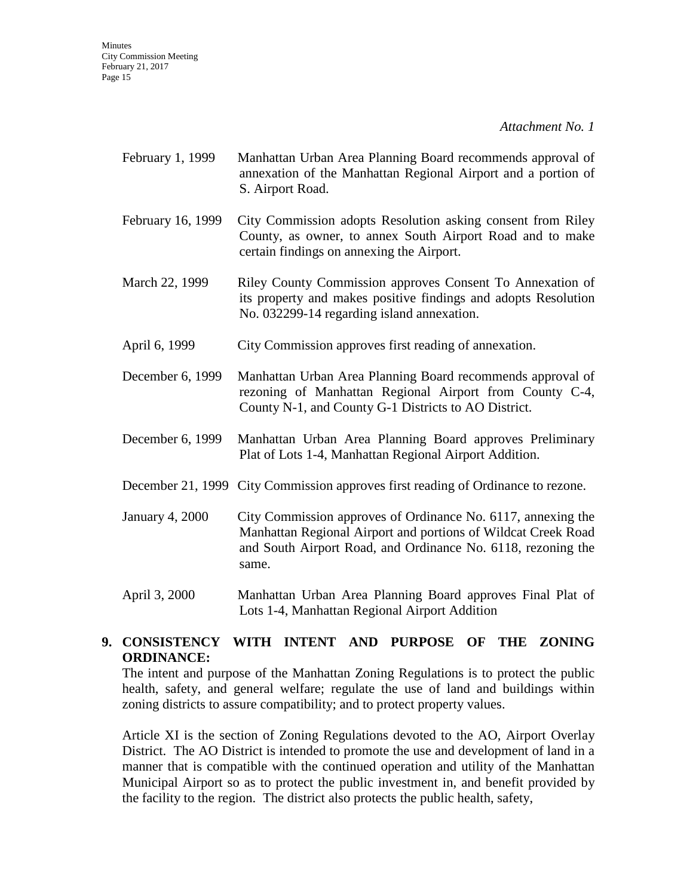- February 1, 1999 Manhattan Urban Area Planning Board recommends approval of annexation of the Manhattan Regional Airport and a portion of S. Airport Road.
- February 16, 1999 City Commission adopts Resolution asking consent from Riley County, as owner, to annex South Airport Road and to make certain findings on annexing the Airport.
- March 22, 1999 Riley County Commission approves Consent To Annexation of its property and makes positive findings and adopts Resolution No. 032299-14 regarding island annexation.
- April 6, 1999 City Commission approves first reading of annexation.
- December 6, 1999 Manhattan Urban Area Planning Board recommends approval of rezoning of Manhattan Regional Airport from County C-4, County N-1, and County G-1 Districts to AO District.
- December 6, 1999 Manhattan Urban Area Planning Board approves Preliminary Plat of Lots 1-4, Manhattan Regional Airport Addition.
- December 21, 1999 City Commission approves first reading of Ordinance to rezone.
- January 4, 2000 City Commission approves of Ordinance No. 6117, annexing the Manhattan Regional Airport and portions of Wildcat Creek Road and South Airport Road, and Ordinance No. 6118, rezoning the same.
- April 3, 2000 Manhattan Urban Area Planning Board approves Final Plat of Lots 1-4, Manhattan Regional Airport Addition

### **9. CONSISTENCY WITH INTENT AND PURPOSE OF THE ZONING ORDINANCE:**

The intent and purpose of the Manhattan Zoning Regulations is to protect the public health, safety, and general welfare; regulate the use of land and buildings within zoning districts to assure compatibility; and to protect property values.

Article XI is the section of Zoning Regulations devoted to the AO, Airport Overlay District. The AO District is intended to promote the use and development of land in a manner that is compatible with the continued operation and utility of the Manhattan Municipal Airport so as to protect the public investment in, and benefit provided by the facility to the region. The district also protects the public health, safety,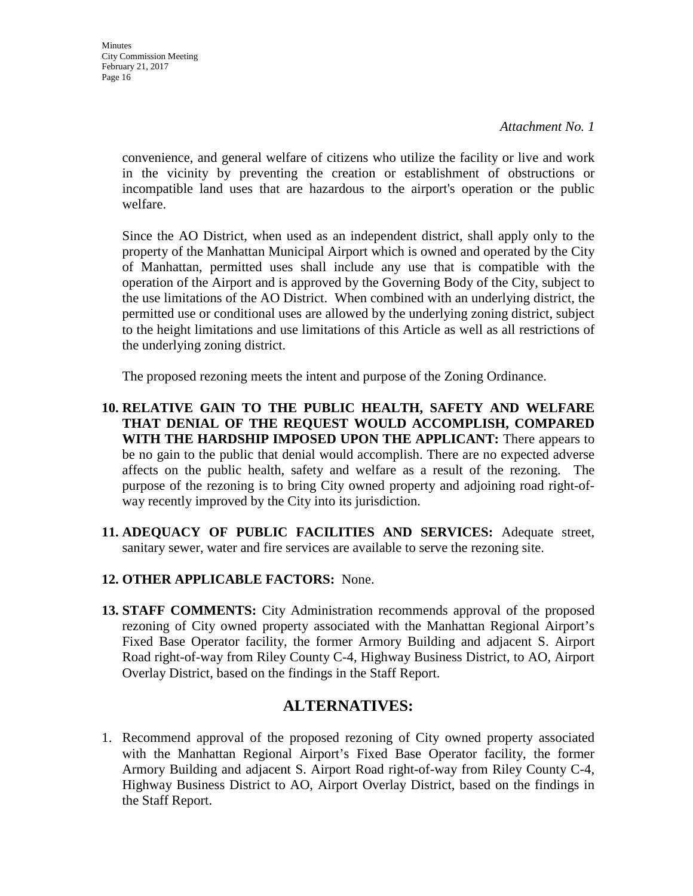**Minutes** City Commission Meeting February 21, 2017 Page 16

*Attachment No. 1*

convenience, and general welfare of citizens who utilize the facility or live and work in the vicinity by preventing the creation or establishment of obstructions or incompatible land uses that are hazardous to the airport's operation or the public welfare.

Since the AO District, when used as an independent district, shall apply only to the property of the Manhattan Municipal Airport which is owned and operated by the City of Manhattan, permitted uses shall include any use that is compatible with the operation of the Airport and is approved by the Governing Body of the City, subject to the use limitations of the AO District. When combined with an underlying district, the permitted use or conditional uses are allowed by the underlying zoning district, subject to the height limitations and use limitations of this Article as well as all restrictions of the underlying zoning district.

The proposed rezoning meets the intent and purpose of the Zoning Ordinance.

- **10. RELATIVE GAIN TO THE PUBLIC HEALTH, SAFETY AND WELFARE THAT DENIAL OF THE REQUEST WOULD ACCOMPLISH, COMPARED WITH THE HARDSHIP IMPOSED UPON THE APPLICANT:** There appears to be no gain to the public that denial would accomplish. There are no expected adverse affects on the public health, safety and welfare as a result of the rezoning. The purpose of the rezoning is to bring City owned property and adjoining road right-ofway recently improved by the City into its jurisdiction.
- **11. ADEQUACY OF PUBLIC FACILITIES AND SERVICES:** Adequate street, sanitary sewer, water and fire services are available to serve the rezoning site.

### **12. OTHER APPLICABLE FACTORS:** None.

**13. STAFF COMMENTS:** City Administration recommends approval of the proposed rezoning of City owned property associated with the Manhattan Regional Airport's Fixed Base Operator facility, the former Armory Building and adjacent S. Airport Road right-of-way from Riley County C-4, Highway Business District, to AO, Airport Overlay District, based on the findings in the Staff Report.

### **ALTERNATIVES:**

1. Recommend approval of the proposed rezoning of City owned property associated with the Manhattan Regional Airport's Fixed Base Operator facility, the former Armory Building and adjacent S. Airport Road right-of-way from Riley County C-4, Highway Business District to AO, Airport Overlay District, based on the findings in the Staff Report.